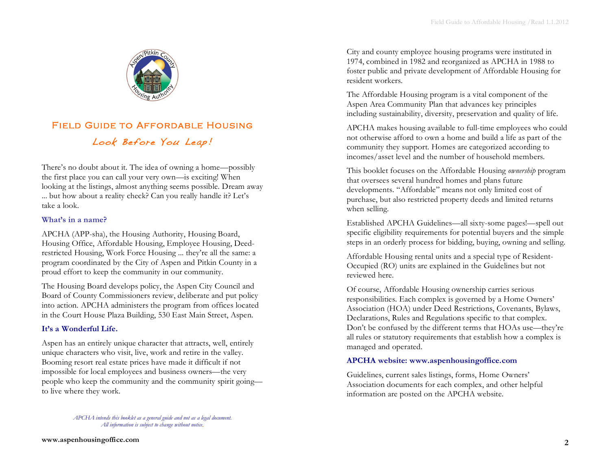

# Field Guide to Affordable Housing Look Before You Leap!

There's no doubt about it. The idea of owning a home—possibly the first place you can call your very own—is exciting! When looking at the listings, almost anything seems possible. Dream away ... but how about a reality check? Can you really handle it? Let's take a look.

#### **What's in a name?**

APCHA (APP-sha), the Housing Authority, Housing Board, Housing Office, Affordable Housing, Employee Housing, Deedrestricted Housing, Work Force Housing ... they're all the same: a program coordinated by the City of Aspen and Pitkin County in a proud effort to keep the community in our community.

The Housing Board develops policy, the Aspen City Council and Board of County Commissioners review, deliberate and put policy into action. APCHA administers the program from offices located in the Court House Plaza Building, 530 East Main Street, Aspen.

### **It's a Wonderful Life.**

Aspen has an entirely unique character that attracts, well, entirely unique characters who visit, live, work and retire in the valley. Booming resort real estate prices have made it difficult if not impossible for local employees and business owners—the very people who keep the community and the community spirit going to live where they work.

City and county employee housing programs were instituted in 1974, combined in 1982 and reorganized as APCHA in 1988 to foster public and private development of Affordable Housing for resident workers.

The Affordable Housing program is a vital component of the Aspen Area Community Plan that advances key principles including sustainability, diversity, preservation and quality of life.

APCHA makes housing available to full-time employees who could not otherwise afford to own a home and build a life as part of the community they support. Homes are categorized according to incomes/asset level and the number of household members.

This booklet focuses on the Affordable Housing *ownership* program that oversees several hundred homes and plans future developments. "Affordable" means not only limited cost of purchase, but also restricted property deeds and limited returns when selling.

Established APCHA Guidelines—all sixty-some pages!—spell out specific eligibility requirements for potential buyers and the simple steps in an orderly process for bidding, buying, owning and selling.

Affordable Housing rental units and a special type of Resident-Occupied (RO) units are explained in the Guidelines but not reviewed here.

Of course, Affordable Housing ownership carries serious responsibilities. Each complex is governed by a Home Owners' Association (HOA) under Deed Restrictions, Covenants, Bylaws, Declarations, Rules and Regulations specific to that complex. Don't be confused by the different terms that HOAs use—they're all rules or statutory requirements that establish how a complex is managed and operated.

# **APCHA website: www.aspenhousingoffice.com**

Guidelines, current sales listings, forms, Home Owners' Association documents for each complex, and other helpful information are posted on the APCHA website.

*APCHA intends this booklet as a general guide and not as a legal document. All information is subject to change without notice.*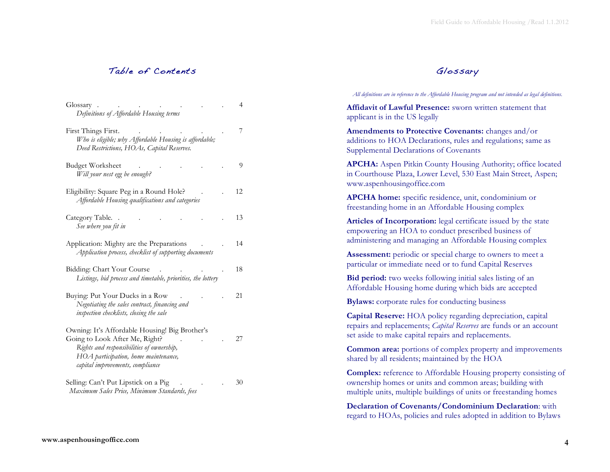# Table of Contents

| Glossary                                                                                                                                                                                                  | 4  |
|-----------------------------------------------------------------------------------------------------------------------------------------------------------------------------------------------------------|----|
| Definitions of Affordable Housing terms                                                                                                                                                                   |    |
| First Things First.                                                                                                                                                                                       | 7  |
| Who is eligible; why Affordable Housing is affordable;<br>Deed Restrictions, HOAs, Capital Reserves.                                                                                                      |    |
| <b>Budget Worksheet</b><br>Will your nest egg be enough?                                                                                                                                                  | 9  |
| Eligibility: Square Peg in a Round Hole?<br>Affordable Housing qualifications and categories                                                                                                              | 12 |
| Category Table<br>See where you fit in                                                                                                                                                                    | 13 |
| Application: Mighty are the Preparations<br>Application process, checklist of supporting documents                                                                                                        | 14 |
| Bidding: Chart Your Course<br>Listings, bid process and timetable, priorities, the lottery                                                                                                                | 18 |
| Buying: Put Your Ducks in a Row<br>Negotiating the sales contract, financing and<br>inspection checklists, closing the sale                                                                               | 21 |
| Owning: It's Affordable Housing! Big Brother's<br>Going to Look After Me, Right?<br>Rights and responsibilities of ownership,<br>HOA participation, home maintenance,<br>capital improvements, compliance | 27 |
| Selling: Can't Put Lipstick on a Pig<br>Maximum Sales Price, Minimum Standards, fees                                                                                                                      | 30 |

# Glossary

#### *All definitions are in reference to the Affordable Housing program and not intended as legal definitions.*

**Affidavit of Lawful Presence:** sworn written statement that applicant is in the US legally

**Amendments to Protective Covenants:** changes and/or additions to HOA Declarations, rules and regulations; same as Supplemental Declarations of Covenants

**APCHA:** Aspen Pitkin County Housing Authority; office located in Courthouse Plaza, Lower Level, 530 East Main Street, Aspen; www.aspenhousingoffice.com

**APCHA home:** specific residence, unit, condominium or freestanding home in an Affordable Housing complex

**Articles of Incorporation:** legal certificate issued by the state empowering an HOA to conduct prescribed business of administering and managing an Affordable Housing complex

Assessment: periodic or special charge to owners to meet a particular or immediate need or to fund Capital Reserves

**Bid period:** two weeks following initial sales listing of an Affordable Housing home during which bids are accepted

**Bylaws:** corporate rules for conducting business

**Capital Reserve:** HOA policy regarding depreciation, capital repairs and replacements; *Capital Reserves* are funds or an account set aside to make capital repairs and replacements.

**Common area:** portions of complex property and improvements shared by all residents; maintained by the HOA

**Complex:** reference to Affordable Housing property consisting of ownership homes or units and common areas; building with multiple units, multiple buildings of units or freestanding homes

**Declaration of Covenants/Condominium Declaration**: with regard to HOAs, policies and rules adopted in addition to Bylaws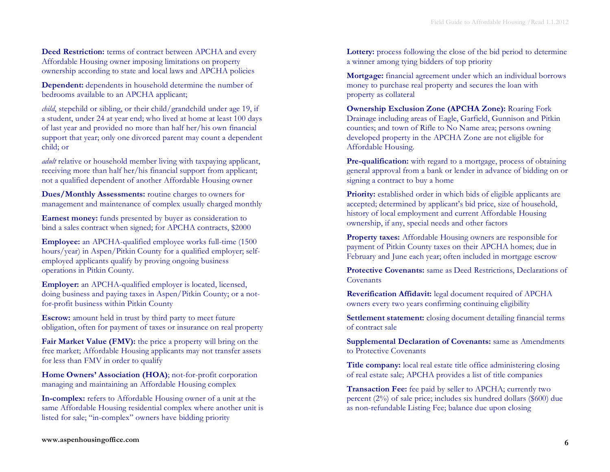**Deed Restriction:** terms of contract between APCHA and every Affordable Housing owner imposing limitations on property ownership according to state and local laws and APCHA policies

**Dependent:** dependents in household determine the number of bedrooms available to an APCHA applicant;

*child*, stepchild or sibling, or their child/grandchild under age 19, if a student, under 24 at year end; who lived at home at least 100 days of last year and provided no more than half her/his own financial support that year; only one divorced parent may count a dependent child; or

*adult* relative or household member living with taxpaying applicant, receiving more than half her/his financial support from applicant; not a qualified dependent of another Affordable Housing owner

**Dues/Monthly Assessments:** routine charges to owners for management and maintenance of complex usually charged monthly

**Earnest money:** funds presented by buyer as consideration to bind a sales contract when signed; for APCHA contracts, \$2000

**Employee:** an APCHA-qualified employee works full-time (1500 hours/year) in Aspen/Pitkin County for a qualified employer; selfemployed applicants qualify by proving ongoing business operations in Pitkin County.

**Employer:** an APCHA-qualified employer is located, licensed, doing business and paying taxes in Aspen/Pitkin County; or a notfor-profit business within Pitkin County

**Escrow:** amount held in trust by third party to meet future obligation, often for payment of taxes or insurance on real property

**Fair Market Value (FMV):** the price a property will bring on the free market; Affordable Housing applicants may not transfer assets for less than FMV in order to qualify

**Home Owners' Association (HOA)**; not-for-profit corporation managing and maintaining an Affordable Housing complex

**In-complex:** refers to Affordable Housing owner of a unit at the same Affordable Housing residential complex where another unit is listed for sale; "in-complex" owners have bidding priority

Lottery: process following the close of the bid period to determine a winner among tying bidders of top priority

**Mortgage:** financial agreement under which an individual borrows money to purchase real property and secures the loan with property as collateral

**Ownership Exclusion Zone (APCHA Zone):** Roaring Fork Drainage including areas of Eagle, Garfield, Gunnison and Pitkin counties; and town of Rifle to No Name area; persons owning developed property in the APCHA Zone are not eligible for Affordable Housing.

**Pre-qualification:** with regard to a mortgage, process of obtaining general approval from a bank or lender in advance of bidding on or signing a contract to buy a home

**Priority:** established order in which bids of eligible applicants are accepted; determined by applicant's bid price, size of household, history of local employment and current Affordable Housing ownership, if any, special needs and other factors

**Property taxes:** Affordable Housing owners are responsible for payment of Pitkin County taxes on their APCHA homes; due in February and June each year; often included in mortgage escrow

**Protective Covenants:** same as Deed Restrictions, Declarations of **Covenants** 

**Reverification Affidavit:** legal document required of APCHA owners every two years confirming continuing eligibility

**Settlement statement:** closing document detailing financial terms of contract sale

**Supplemental Declaration of Covenants:** same as Amendments to Protective Covenants

**Title company:** local real estate title office administering closing of real estate sale; APCHA provides a list of title companies

**Transaction Fee:** fee paid by seller to APCHA; currently two percent (2%) of sale price; includes six hundred dollars (\$600) due as non-refundable Listing Fee; balance due upon closing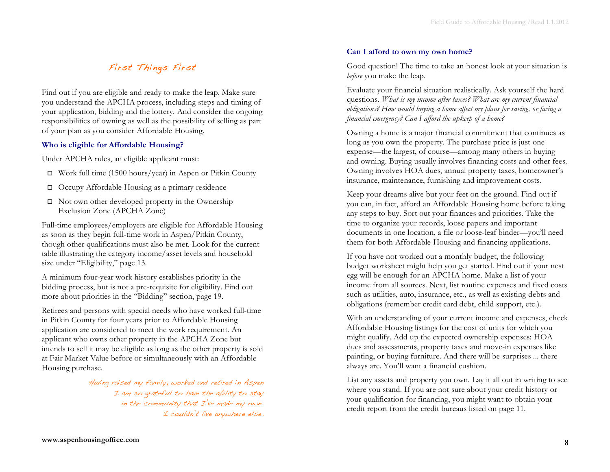# First Things First

Find out if you are eligible and ready to make the leap. Make sure you understand the APCHA process, including steps and timing of your application, bidding and the lottery. And consider the ongoing responsibilities of owning as well as the possibility of selling as part of your plan as you consider Affordable Housing.

# **Who is eligible for Affordable Housing?**

Under APCHA rules, an eligible applicant must:

- $\Box$  Work full time (1500 hours/year) in Aspen or Pitkin County
- $\Box$  Occupy Affordable Housing as a primary residence
- $\Box$  Not own other developed property in the Ownership Exclusion Zone (APCHA Zone)

Full-time employees/employers are eligible for Affordable Housing as soon as they begin full-time work in Aspen/Pitkin County, though other qualifications must also be met. Look for the current table illustrating the category income/asset levels and household size under "Eligibility," page 13.

A minimum four-year work history establishes priority in the bidding process, but is not a pre-requisite for eligibility. Find out more about priorities in the "Bidding" section, page 19.

Retirees and persons with special needs who have worked full-time in Pitkin County for four years prior to Affordable Housing application are considered to meet the work requirement. An applicant who owns other property in the APCHA Zone but intends to sell it may be eligible as long as the other property is sold at Fair Market Value before or simultaneously with an Affordable Housing purchase.

> Having raised my family, worked and retired in Aspen I am so grateful to have the ability to stay in the community that I've made my own. I couldn't live anywhere else.

# **Can I afford to own my own home?**

Good question! The time to take an honest look at your situation is *before* you make the leap.

Evaluate your financial situation realistically. Ask yourself the hard questions. *What is my income after taxes? What are my current financial obligations? How would buying a home affect my plans for saving, or facing a financial emergency? Can I afford the upkeep of a home?*

Owning a home is a major financial commitment that continues as long as you own the property. The purchase price is just one expense—the largest, of course—among many others in buying and owning. Buying usually involves financing costs and other fees. Owning involves HOA dues, annual property taxes, homeowner's insurance, maintenance, furnishing and improvement costs.

Keep your dreams alive but your feet on the ground. Find out if you can, in fact, afford an Affordable Housing home before taking any steps to buy. Sort out your finances and priorities. Take the time to organize your records, loose papers and important documents in one location, a file or loose-leaf binder—you'll need them for both Affordable Housing and financing applications.

If you have not worked out a monthly budget, the following budget worksheet might help you get started. Find out if your nest egg will be enough for an APCHA home. Make a list of your income from all sources. Next, list routine expenses and fixed costs such as utilities, auto, insurance, etc., as well as existing debts and obligations (remember credit card debt, child support, etc.).

With an understanding of your current income and expenses, check Affordable Housing listings for the cost of units for which you might qualify. Add up the expected ownership expenses: HOA dues and assessments, property taxes and move-in expenses like painting, or buying furniture. And there will be surprises ... there always are. You'll want a financial cushion.

List any assets and property you own. Lay it all out in writing to see where you stand. If you are not sure about your credit history or your qualification for financing, you might want to obtain your credit report from the credit bureaus listed on page 11.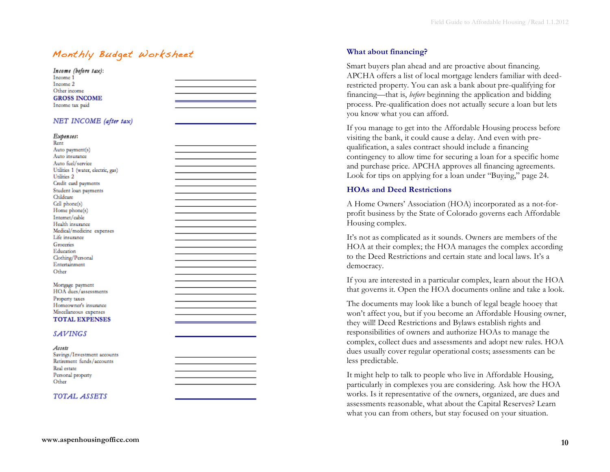# Monthly Budget Worksheet **What about financing?**

| Income (before tax):<br>Income 1   |  |
|------------------------------------|--|
| Income 2                           |  |
| Other income                       |  |
| <b>GROSS INCOME</b>                |  |
| Income tax paid                    |  |
|                                    |  |
| NET INCOME (after tax)             |  |
| Expenses:<br>Rent                  |  |
| Auto payment(s)                    |  |
| Auto insurance                     |  |
| Auto fuel/service                  |  |
| Utilities 1 (water, electric, gas) |  |
| Utilities 2                        |  |
| Credit card payments               |  |
| Student loan payments              |  |
| Childcare                          |  |
| Cell phone(s)                      |  |
| Home phone(s)                      |  |
| Internet/cable                     |  |
| Health insurance                   |  |
| Medical/medicine expenses          |  |
| Life insurance                     |  |
| Groceries                          |  |
| Education<br>Clothing/Personal     |  |
| Entertainment                      |  |
| Other                              |  |
|                                    |  |
| Mortgage payment                   |  |
| HOA dues/assessments               |  |
| Property taxes                     |  |
| Homeowner's insurance              |  |
| Miscellaneous expenses             |  |
| <b>TOTAL EXPENSES</b>              |  |
|                                    |  |
| <b>SAVINGS</b>                     |  |
|                                    |  |
| Assets                             |  |
| Savings/Investment accounts        |  |
| Retirement funds/accounts          |  |
| Real estate                        |  |
| Personal property                  |  |
| Other                              |  |
|                                    |  |
| TOTAL ASSETS                       |  |
|                                    |  |
|                                    |  |

Smart buyers plan ahead and are proactive about financing. APCHA offers a list of local mortgage lenders familiar with deedrestricted property. You can ask a bank about pre-qualifying for financing—that is, *before* beginning the application and bidding process. Pre-qualification does not actually secure a loan but lets you know what you can afford.

If you manage to get into the Affordable Housing process before visiting the bank, it could cause a delay. And even with prequalification, a sales contract should include a financing contingency to allow time for securing a loan for a specific home and purchase price. APCHA approves all financing agreements. Look for tips on applying for a loan under "Buying," page 24.

#### **HOAs and Deed Restrictions**

A Home Owners' Association (HOA) incorporated as a not-forprofit business by the State of Colorado governs each Affordable Housing complex.

It's not as complicated as it sounds. Owners are members of the HOA at their complex; the HOA manages the complex according to the Deed Restrictions and certain state and local laws. It's a democracy.

If you are interested in a particular complex, learn about the HOA that governs it. Open the HOA documents online and take a look.

The documents may look like a bunch of legal beagle hooey that won't affect you, but if you become an Affordable Housing owner, they will! Deed Restrictions and Bylaws establish rights and responsibilities of owners and authorize HOAs to manage the complex, collect dues and assessments and adopt new rules. HOA dues usually cover regular operational costs; assessments can be less predictable.

It might help to talk to people who live in Affordable Housing, particularly in complexes you are considering. Ask how the HOA works. Is it representative of the owners, organized, are dues and assessments reasonable, what about the Capital Reserves? Learn what you can from others, but stay focused on your situation.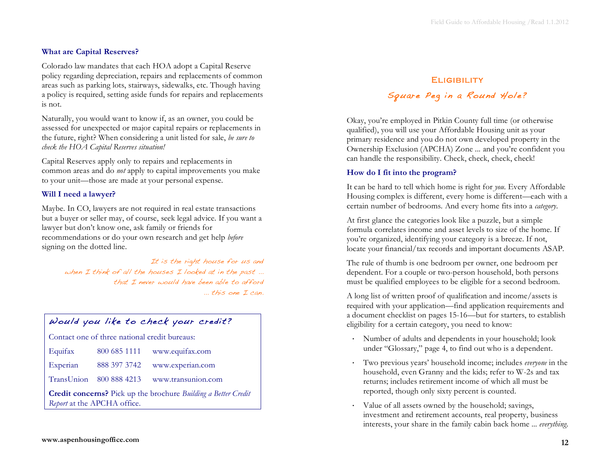# **What are Capital Reserves?**

Colorado law mandates that each HOA adopt a Capital Reserve policy regarding depreciation, repairs and replacements of common areas such as parking lots, stairways, sidewalks, etc. Though having a policy is required, setting aside funds for repairs and replacements is not.

Naturally, you would want to know if, as an owner, you could be assessed for unexpected or major capital repairs or replacements in the future, right? When considering a unit listed for sale, *be sure to check the HOA Capital Reserves situation!*

Capital Reserves apply only to repairs and replacements in common areas and do *not* apply to capital improvements you make to your unit—those are made at your personal expense.

# **Will I need a lawyer?**

Maybe. In CO, lawyers are not required in real estate transactions but a buyer or seller may, of course, seek legal advice. If you want a lawyer but don't know one, ask family or friends for recommendations or do your own research and get help *before* signing on the dotted line.

> It is the right house for us and when I think of all the houses I looked at in the past ... that I never would have been able to afford ... this one I can.

# Would you like to check your credit?

Contact one of three national credit bureaus:

| Equifax                                                                                                     | 800 685 1111            | www.equifax.com    |  |  |  |  |
|-------------------------------------------------------------------------------------------------------------|-------------------------|--------------------|--|--|--|--|
| Experian                                                                                                    | 888 397 3742            | www.experian.com   |  |  |  |  |
|                                                                                                             | TransUnion 800 888 4213 | www.transunion.com |  |  |  |  |
| <b>Credit concerns?</b> Pick up the brochure <i>Building a Better Credit</i><br>Report at the APCHA office. |                         |                    |  |  |  |  |

# **ELIGIBILITY** Square Peg in a Round Hole?

Okay, you're employed in Pitkin County full time (or otherwise qualified), you will use your Affordable Housing unit as your primary residence and you do not own developed property in the Ownership Exclusion (APCHA) Zone ... and you're confident you can handle the responsibility. Check, check, check, check!

### **How do I fit into the program?**

It can be hard to tell which home is right for *you*. Every Affordable Housing complex is different, every home is different—each with a certain number of bedrooms. And every home fits into a *category*.

At first glance the categories look like a puzzle, but a simple formula correlates income and asset levels to size of the home. If you're organized, identifying your category is a breeze. If not, locate your financial/tax records and important documents ASAP.

The rule of thumb is one bedroom per owner, one bedroom per dependent. For a couple or two-person household, both persons must be qualified employees to be eligible for a second bedroom.

A long list of written proof of qualification and income/assets is required with your application—find application requirements and a document checklist on pages 15-16—but for starters, to establish eligibility for a certain category, you need to know:

- Number of adults and dependents in your household; look under "Glossary," page 4, to find out who is a dependent.
- Two previous years' household income; includes *everyone* in the household, even Granny and the kids; refer to W-2s and tax returns; includes retirement income of which all must be reported, though only sixty percent is counted.
- Value of all assets owned by the household; savings, investment and retirement accounts, real property, business interests, your share in the family cabin back home ... *everything*.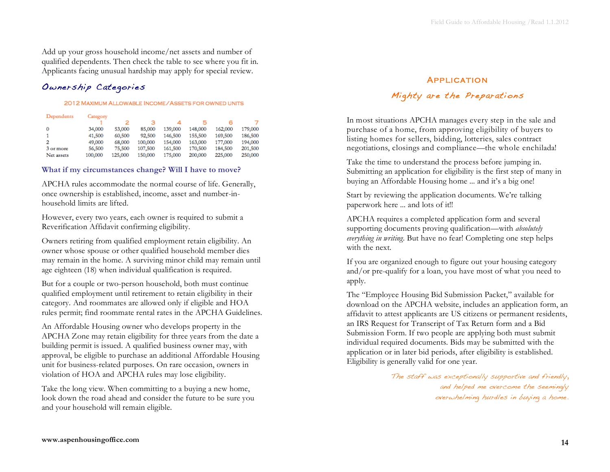Add up your gross household income/net assets and number of qualified dependents. Then check the table to see where you fit in. Applicants facing unusual hardship may apply for special review.

# Ownership Categories

#### 2012 MAXIMUM ALLOWABLE INCOME/ASSETS FOR OWNED UNITS

| Dependents | Category |         |         |         |         |         |         |
|------------|----------|---------|---------|---------|---------|---------|---------|
|            |          |         |         |         |         |         |         |
|            | 34,000   | 53,000  | 85,000  | 139,000 | 148,000 | 162,000 | 179,000 |
|            | 41,500   | 60,500  | 92,500  | 146,500 | 155,500 | 169,500 | 186,500 |
|            | 49,000   | 68,000  | 100,000 | 154,000 | 163,000 | 177,000 | 194,000 |
| 3 or more  | 56,500   | 75,500  | 107,500 | 161,500 | 170,500 | 184,500 | 201,500 |
| Net assets | 100,000  | 125,000 | 150,000 | 175,000 | 200,000 | 225,000 | 250,000 |

#### **What if my circumstances change? Will I have to move?**

APCHA rules accommodate the normal course of life. Generally, once ownership is established, income, asset and number-inhousehold limits are lifted.

However, every two years, each owner is required to submit a Reverification Affidavit confirming eligibility.

Owners retiring from qualified employment retain eligibility. An owner whose spouse or other qualified household member dies may remain in the home. A surviving minor child may remain until age eighteen (18) when individual qualification is required.

But for a couple or two-person household, both must continue qualified employment until retirement to retain eligibility in their category. And roommates are allowed only if eligible and HOA rules permit; find roommate rental rates in the APCHA Guidelines.

An Affordable Housing owner who develops property in the APCHA Zone may retain eligibility for three years from the date a building permit is issued. A qualified business owner may, with approval, be eligible to purchase an additional Affordable Housing unit for business-related purposes. On rare occasion, owners in violation of HOA and APCHA rules may lose eligibility.

Take the long view. When committing to a buying a new home, look down the road ahead and consider the future to be sure you and your household will remain eligible.

### **APPLICATION**

# Mighty are the Preparations

In most situations APCHA manages every step in the sale and purchase of a home, from approving eligibility of buyers to listing homes for sellers, bidding, lotteries, sales contract negotiations, closings and compliance—the whole enchilada!

Take the time to understand the process before jumping in. Submitting an application for eligibility is the first step of many in buying an Affordable Housing home ... and it's a big one!

Start by reviewing the application documents. We're talking paperwork here ... and lots of it!!

APCHA requires a completed application form and several supporting documents proving qualification—with *absolutely everything in writing*. But have no fear! Completing one step helps with the next.

If you are organized enough to figure out your housing category and/or pre-qualify for a loan, you have most of what you need to apply.

The "Employee Housing Bid Submission Packet," available for download on the APCHA website, includes an application form, an affidavit to attest applicants are US citizens or permanent residents, an IRS Request for Transcript of Tax Return form and a Bid Submission Form. If two people are applying both must submit individual required documents. Bids may be submitted with the application or in later bid periods, after eligibility is established. Eligibility is generally valid for one year.

> The staff was exceptionally supportive and friendly, and helped me overcome the seemingly overwhelming hurdles in buying a home.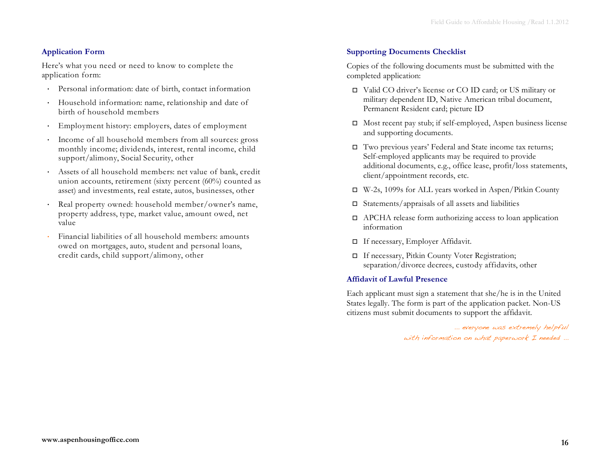# **Application Form**

Here's what you need or need to know to complete the application form:

- Personal information: date of birth, contact information
- Household information: name, relationship and date of birth of household members
- Employment history: employers, dates of employment
- Income of all household members from all sources: gross monthly income; dividends, interest, rental income, child support/alimony, Social Security, other
- Assets of all household members: net value of bank, credit union accounts, retirement (sixty percent (60%) counted as asset) and investments, real estate, autos, businesses, other
- Real property owned: household member/owner's name, property address, type, market value, amount owed, net value
- Financial liabilities of all household members: amounts owed on mortgages, auto, student and personal loans, credit cards, child support/alimony, other

# **Supporting Documents Checklist**

Copies of the following documents must be submitted with the completed application:

- Valid CO driver's license or CO ID card; or US military or military dependent ID, Native American tribal document, Permanent Resident card; picture ID
- $\Box$  Most recent pay stub; if self-employed, Aspen business license and supporting documents.
- Two previous years' Federal and State income tax returns; Self-employed applicants may be required to provide additional documents, e.g., office lease, profit/loss statements, client/appointment records, etc.
- W-2s, 1099s for ALL years worked in Aspen/Pitkin County
- $\square$  Statements/appraisals of all assets and liabilities
- APCHA release form authorizing access to loan application information
- If necessary, Employer Affidavit.
- If necessary, Pitkin County Voter Registration; separation/divorce decrees, custody affidavits, other

### **Affidavit of Lawful Presence**

Each applicant must sign a statement that she/he is in the United States legally. The form is part of the application packet. Non-US citizens must submit documents to support the affidavit.

> ... everyone was extremely helpful with information on what paperwork I needed ...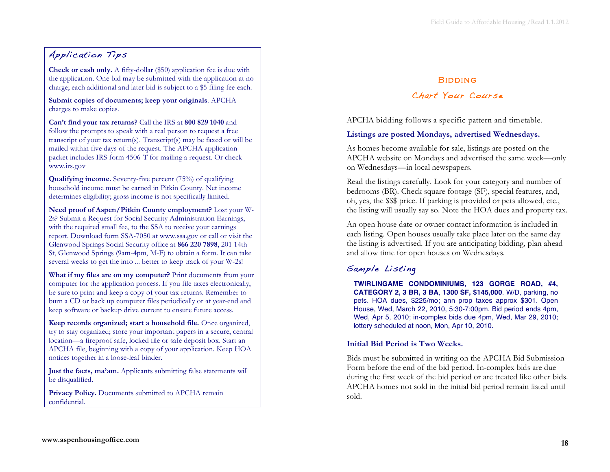# Application Tips

**Check or cash only.** A fifty-dollar (\$50) application fee is due with the application. One bid may be submitted with the application at no charge; each additional and later bid is subject to a \$5 filing fee each.

**Submit copies of documents; keep your originals**. APCHA charges to make copies.

**Can't find your tax returns?** Call the IRS at **800 829 1040** and follow the prompts to speak with a real person to request a free transcript of your tax return(s). Transcript(s) may be faxed or will be mailed within five days of the request. The APCHA application packet includes IRS form 4506-T for mailing a request. Or check www.irs.gov

**Qualifying income.** Seventy-five percent (75%) of qualifying household income must be earned in Pitkin County. Net income determines eligibility; gross income is not specifically limited.

**Need proof of Aspen/Pitkin County employment?** Lost your W-2s? Submit a Request for Social Security Administration Earnings, with the required small fee, to the SSA to receive your earnings report. Download form SSA-7050 at www.ssa.gov or call or visit the Glenwood Springs Social Security office at **866 220 7898**, 201 14th St, Glenwood Springs (9am-4pm, M-F) to obtain a form. It can take several weeks to get the info ... better to keep track of your W-2s!

**What if my files are on my computer?** Print documents from your computer for the application process. If you file taxes electronically, be sure to print and keep a copy of your tax returns. Remember to burn a CD or back up computer files periodically or at year-end and keep software or backup drive current to ensure future access.

**Keep records organized; start a household file.** Once organized, try to stay organized; store your important papers in a secure, central location—a fireproof safe, locked file or safe deposit box. Start an APCHA file, beginning with a copy of your application. Keep HOA notices together in a loose-leaf binder.

**Just the facts, ma'am.** Applicants submitting false statements will be disqualified.

Privacy Policy. Documents submitted to APCHA remain confidential.

# **BIDDING**

# Chart Your Course

APCHA bidding follows a specific pattern and timetable.

# **Listings are posted Mondays, advertised Wednesdays.**

As homes become available for sale, listings are posted on the APCHA website on Mondays and advertised the same week—only on Wednesdays—in local newspapers.

Read the listings carefully. Look for your category and number of bedrooms (BR). Check square footage (SF), special features, and, oh, yes, the \$\$\$ price. If parking is provided or pets allowed, etc., the listing will usually say so. Note the HOA dues and property tax.

An open house date or owner contact information is included in each listing. Open houses usually take place later on the same day the listing is advertised. If you are anticipating bidding, plan ahead and allow time for open houses on Wednesdays.

# Sample Listing

**TWIRLINGAME CONDOMINIUMS, 123 GORGE ROAD, #4, CATEGORY 2, 3 BR, 3 BA**, **1300 SF, \$145,000**. W/D, parking, no pets. HOA dues, \$225/mo; ann prop taxes approx \$301. Open House, Wed, March 22, 2010, 5:30-7:00pm. Bid period ends 4pm, Wed, Apr 5, 2010; in-complex bids due 4pm, Wed, Mar 29, 2010; lottery scheduled at noon, Mon, Apr 10, 2010.

# **Initial Bid Period is Two Weeks.**

Bids must be submitted in writing on the APCHA Bid Submission Form before the end of the bid period. In-complex bids are due during the first week of the bid period or are treated like other bids. APCHA homes not sold in the initial bid period remain listed until sold.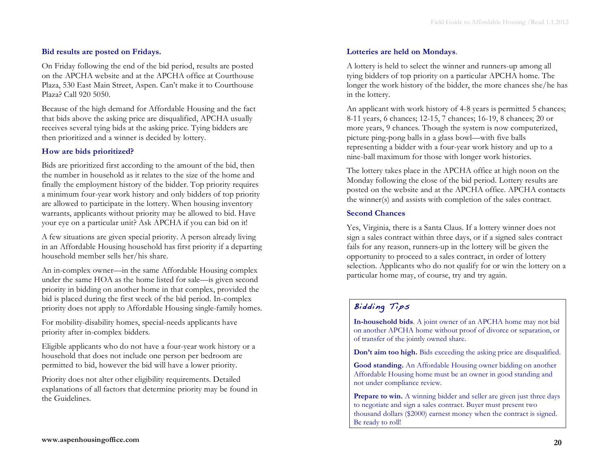#### **Bid results are posted on Fridays.**

On Friday following the end of the bid period, results are posted on the APCHA website and at the APCHA office at Courthouse Plaza, 530 East Main Street, Aspen. Can't make it to Courthouse Plaza? Call 920 5050.

Because of the high demand for Affordable Housing and the fact that bids above the asking price are disqualified, APCHA usually receives several tying bids at the asking price. Tying bidders are then prioritized and a winner is decided by lottery.

#### **How are bids prioritized?**

Bids are prioritized first according to the amount of the bid, then the number in household as it relates to the size of the home and finally the employment history of the bidder. Top priority requires a minimum four-year work history and only bidders of top priority are allowed to participate in the lottery. When housing inventory warrants, applicants without priority may be allowed to bid. Have your eye on a particular unit? Ask APCHA if you can bid on it!

A few situations are given special priority. A person already living in an Affordable Housing household has first priority if a departing household member sells her/his share.

An in-complex owner—in the same Affordable Housing complex under the same HOA as the home listed for sale—is given second priority in bidding on another home in that complex, provided the bid is placed during the first week of the bid period. In-complex priority does not apply to Affordable Housing single-family homes.

For mobility-disability homes, special-needs applicants have priority after in-complex bidders.

Eligible applicants who do not have a four-year work history or a household that does not include one person per bedroom are permitted to bid, however the bid will have a lower priority.

Priority does not alter other eligibility requirements. Detailed explanations of all factors that determine priority may be found in the Guidelines.

#### **Lotteries are held on Mondays**.

A lottery is held to select the winner and runners-up among all tying bidders of top priority on a particular APCHA home. The longer the work history of the bidder, the more chances she/he has in the lottery.

An applicant with work history of 4-8 years is permitted 5 chances; 8-11 years, 6 chances; 12-15, 7 chances; 16-19, 8 chances; 20 or more years, 9 chances. Though the system is now computerized, picture ping-pong balls in a glass bowl—with five balls representing a bidder with a four-year work history and up to a nine-ball maximum for those with longer work histories.

The lottery takes place in the APCHA office at high noon on the Monday following the close of the bid period. Lottery results are posted on the website and at the APCHA office. APCHA contacts the winner(s) and assists with completion of the sales contract.

#### **Second Chances**

Yes, Virginia, there is a Santa Claus. If a lottery winner does not sign a sales contract within three days, or if a signed sales contract fails for any reason, runners-up in the lottery will be given the opportunity to proceed to a sales contract, in order of lottery selection. Applicants who do not qualify for or win the lottery on a particular home may, of course, try and try again.

# Bidding Tips

**In-household bids**. A joint owner of an APCHA home may not bid on another APCHA home without proof of divorce or separation, or of transfer of the jointly owned share.

**Don't aim too high.** Bids exceeding the asking price are disqualified.

**Good standing.** An Affordable Housing owner bidding on another Affordable Housing home must be an owner in good standing and not under compliance review.

**Prepare to win.** A winning bidder and seller are given just three days to negotiate and sign a sales contract. Buyer must present two thousand dollars (\$2000) earnest money when the contract is signed. Be ready to roll!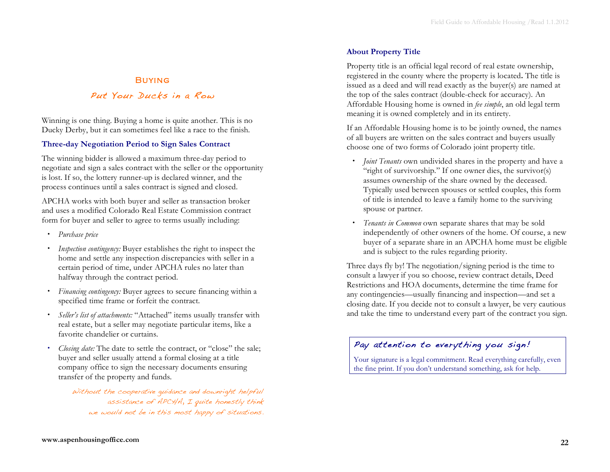# **BUYING**

# Put Your Ducks in a Row

Winning is one thing. Buying a home is quite another. This is no Ducky Derby, but it can sometimes feel like a race to the finish.

#### **Three-day Negotiation Period to Sign Sales Contract**

The winning bidder is allowed a maximum three-day period to negotiate and sign a sales contract with the seller or the opportunity is lost. If so, the lottery runner-up is declared winner, and the process continues until a sales contract is signed and closed.

APCHA works with both buyer and seller as transaction broker and uses a modified Colorado Real Estate Commission contract form for buyer and seller to agree to terms usually including:

- *Purchase price*
- *Inspection contingency:* Buyer establishes the right to inspect the home and settle any inspection discrepancies with seller in a certain period of time, under APCHA rules no later than halfway through the contract period.
- *Financing contingency:* Buyer agrees to secure financing within a specified time frame or forfeit the contract.
- *Seller's list of attachments:* "Attached" items usually transfer with real estate, but a seller may negotiate particular items, like a favorite chandelier or curtains.
- *Closing date:* The date to settle the contract, or "close" the sale; buyer and seller usually attend a formal closing at a title company office to sign the necessary documents ensuring transfer of the property and funds.

Without the cooperative guidance and downright helpful assistance of APCHA, I quite honestly think we would not be in this most happy of situations.

#### **About Property Title**

Property title is an official legal record of real estate ownership, registered in the county where the property is located**.** The title is issued as a deed and will read exactly as the buyer(s) are named at the top of the sales contract (double-check for accuracy). An Affordable Housing home is owned in *fee simple*, an old legal term meaning it is owned completely and in its entirety.

If an Affordable Housing home is to be jointly owned, the names of all buyers are written on the sales contract and buyers usually choose one of two forms of Colorado joint property title.

- *Joint Tenants* own undivided shares in the property and have a "right of survivorship." If one owner dies, the survivor(s) assumes ownership of the share owned by the deceased. Typically used between spouses or settled couples, this form of title is intended to leave a family home to the surviving spouse or partner.
- *Tenants in Common* own separate shares that may be sold independently of other owners of the home. Of course, a new buyer of a separate share in an APCHA home must be eligible and is subject to the rules regarding priority.

Three days fly by! The negotiation/signing period is the time to consult a lawyer if you so choose, review contract details, Deed Restrictions and HOA documents, determine the time frame for any contingencies—usually financing and inspection—and set a closing date. If you decide not to consult a lawyer, be very cautious and take the time to understand every part of the contract you sign.

# Pay attention to everything you sign!

Your signature is a legal commitment. Read everything carefully, even the fine print. If you don't understand something, ask for help.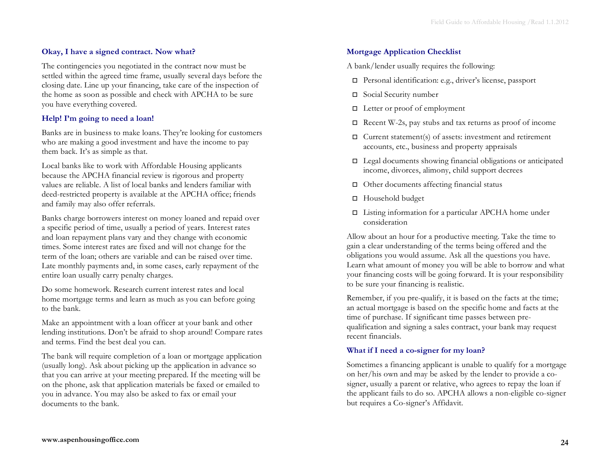#### **Okay, I have a signed contract. Now what?**

The contingencies you negotiated in the contract now must be settled within the agreed time frame, usually several days before the closing date. Line up your financing, take care of the inspection of the home as soon as possible and check with APCHA to be sure you have everything covered.

### **Help! I'm going to need a loan!**

Banks are in business to make loans. They're looking for customers who are making a good investment and have the income to pay them back. It's as simple as that.

Local banks like to work with Affordable Housing applicants because the APCHA financial review is rigorous and property values are reliable. A list of local banks and lenders familiar with deed-restricted property is available at the APCHA office; friends and family may also offer referrals.

Banks charge borrowers interest on money loaned and repaid over a specific period of time, usually a period of years. Interest rates and loan repayment plans vary and they change with economic times. Some interest rates are fixed and will not change for the term of the loan; others are variable and can be raised over time. Late monthly payments and, in some cases, early repayment of the entire loan usually carry penalty charges.

Do some homework. Research current interest rates and local home mortgage terms and learn as much as you can before going to the bank.

Make an appointment with a loan officer at your bank and other lending institutions. Don't be afraid to shop around! Compare rates and terms. Find the best deal you can.

The bank will require completion of a loan or mortgage application (usually long). Ask about picking up the application in advance so that you can arrive at your meeting prepared. If the meeting will be on the phone, ask that application materials be faxed or emailed to you in advance. You may also be asked to fax or email your documents to the bank.

### **Mortgage Application Checklist**

A bank/lender usually requires the following:

- Personal identification: e.g., driver's license, passport
- □ Social Security number
- $\Box$  Letter or proof of employment
- $\Box$  Recent W-2s, pay stubs and tax returns as proof of income
- $\Box$  Current statement(s) of assets: investment and retirement accounts, etc., business and property appraisals
- $\Box$  Legal documents showing financial obligations or anticipated income, divorces, alimony, child support decrees
- $\Box$  Other documents affecting financial status
- □ Household budget
- $\Box$  Listing information for a particular APCHA home under consideration

Allow about an hour for a productive meeting. Take the time to gain a clear understanding of the terms being offered and the obligations you would assume. Ask all the questions you have. Learn what amount of money you will be able to borrow and what your financing costs will be going forward. It is your responsibility to be sure your financing is realistic.

Remember, if you pre-qualify, it is based on the facts at the time; an actual mortgage is based on the specific home and facts at the time of purchase. If significant time passes between prequalification and signing a sales contract, your bank may request recent financials.

### **What if I need a co-signer for my loan?**

Sometimes a financing applicant is unable to qualify for a mortgage on her/his own and may be asked by the lender to provide a cosigner, usually a parent or relative, who agrees to repay the loan if the applicant fails to do so. APCHA allows a non-eligible co-signer but requires a Co-signer's Affidavit.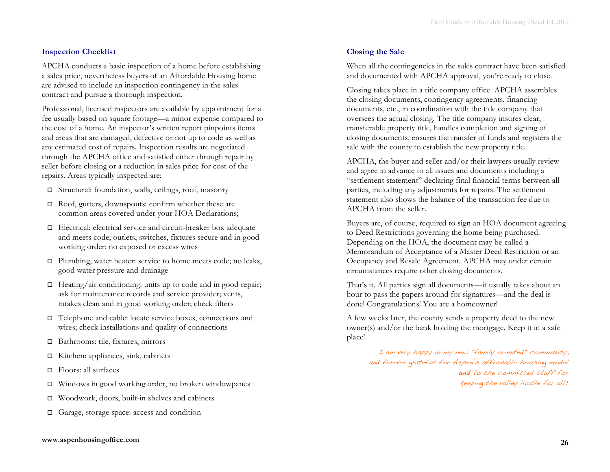## **Inspection Checklist**

APCHA conducts a basic inspection of a home before establishing a sales price, nevertheless buyers of an Affordable Housing home are advised to include an inspection contingency in the sales contract and pursue a thorough inspection.

Professional, licensed inspectors are available by appointment for a fee usually based on square footage—a minor expense compared to the cost of a home. An inspector's written report pinpoints items and areas that are damaged, defective or not up to code as well as any estimated cost of repairs. Inspection results are negotiated through the APCHA office and satisfied either through repair by seller before closing or a reduction in sales price for cost of the repairs. Areas typically inspected are:

- Structural: foundation, walls, ceilings, roof, masonry
- $\Box$  Roof, gutters, downspouts: confirm whether these are common areas covered under your HOA Declarations;
- Electrical: electrical service and circuit-breaker box adequate and meets code; outlets, switches, fixtures secure and in good working order; no exposed or excess wires
- $\Box$  Plumbing, water heater: service to home meets code; no leaks, good water pressure and drainage
- $\Box$  Heating/air conditioning: units up to code and in good repair; ask for maintenance records and service provider; vents, intakes clean and in good working order; check filters
- Telephone and cable: locate service boxes, connections and wires; check installations and quality of connections
- □ Bathrooms: tile, fixtures, mirrors
- Kitchen: appliances, sink, cabinets
- Floors: all surfaces
- Windows in good working order, no broken windowpanes
- $\Box$  Woodwork, doors, built-in shelves and cabinets
- □ Garage, storage space: access and condition

# **Closing the Sale**

When all the contingencies in the sales contract have been satisfied and documented with APCHA approval, you're ready to close.

Closing takes place in a title company office. APCHA assembles the closing documents, contingency agreements, financing documents, etc., in coordination with the title company that oversees the actual closing. The title company insures clear, transferable property title, handles completion and signing of closing documents, ensures the transfer of funds and registers the sale with the county to establish the new property title.

APCHA, the buyer and seller and/or their lawyers usually review and agree in advance to all issues and documents including a "settlement statement" declaring final financial terms between all parties, including any adjustments for repairs. The settlement statement also shows the balance of the transaction fee due to APCHA from the seller.

Buyers are, of course, required to sign an HOA document agreeing to Deed Restrictions governing the home being purchased. Depending on the HOA, the document may be called a Memorandum of Acceptance of a Master Deed Restriction or an Occupancy and Resale Agreement. APCHA may under certain circumstances require other closing documents.

That's it. All parties sign all documents—it usually takes about an hour to pass the papers around for signatures—and the deal is done! Congratulations! You are a homeowner!

A few weeks later, the county sends a property deed to the new owner(s) and/or the bank holding the mortgage. Keep it in a safe place!

> I am very happy in my new "family oriented" community, and forever grateful for Aspen's affordable housing model and to the committed staff for keeping the valley livable for all!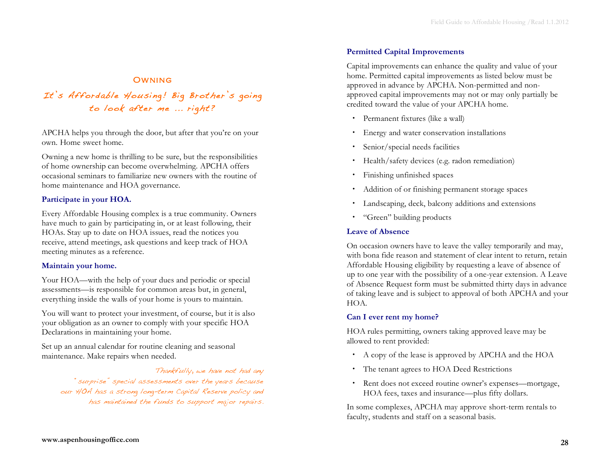# **OWNING**

It's Affordable Housing! Big Brother's going to look after me ... right?

APCHA helps you through the door, but after that you're on your own. Home sweet home.

Owning a new home is thrilling to be sure, but the responsibilities of home ownership can become overwhelming. APCHA offers occasional seminars to familiarize new owners with the routine of home maintenance and HOA governance.

### **Participate in your HOA.**

Every Affordable Housing complex is a true community. Owners have much to gain by participating in, or at least following, their HOAs. Stay up to date on HOA issues, read the notices you receive, attend meetings, ask questions and keep track of HOA meeting minutes as a reference.

#### **Maintain your home.**

Your HOA—with the help of your dues and periodic or special assessments—is responsible for common areas but, in general, everything inside the walls of your home is yours to maintain.

You will want to protect your investment, of course, but it is also your obligation as an owner to comply with your specific HOA Declarations in maintaining your home.

Set up an annual calendar for routine cleaning and seasonal maintenance. Make repairs when needed.

Thankfully, we have not had any "surprise" special assessments over the years because our HOA has a strong long-term Capital Reserve policy and has maintained the funds to support major repairs.

# **Permitted Capital Improvements**

Capital improvements can enhance the quality and value of your home. Permitted capital improvements as listed below must be approved in advance by APCHA. Non-permitted and nonapproved capital improvements may not or may only partially be credited toward the value of your APCHA home.

- Permanent fixtures (like a wall)
- Energy and water conservation installations
- Senior/special needs facilities
- Health/safety devices (e.g. radon remediation)
- Finishing unfinished spaces
- Addition of or finishing permanent storage spaces
- Landscaping, deck, balcony additions and extensions
- "Green" building products

#### **Leave of Absence**

On occasion owners have to leave the valley temporarily and may, with bona fide reason and statement of clear intent to return, retain Affordable Housing eligibility by requesting a leave of absence of up to one year with the possibility of a one-year extension. A Leave of Absence Request form must be submitted thirty days in advance of taking leave and is subject to approval of both APCHA and your HOA.

### **Can I ever rent my home?**

HOA rules permitting, owners taking approved leave may be allowed to rent provided:

- A copy of the lease is approved by APCHA and the HOA
- The tenant agrees to HOA Deed Restrictions
- Rent does not exceed routine owner's expenses—mortgage, HOA fees, taxes and insurance—plus fifty dollars.

In some complexes, APCHA may approve short-term rentals to faculty, students and staff on a seasonal basis.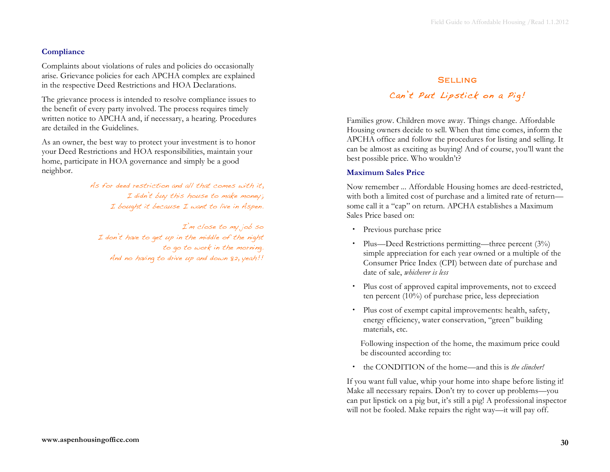# **Compliance**

Complaints about violations of rules and policies do occasionally arise. Grievance policies for each APCHA complex are explained in the respective Deed Restrictions and HOA Declarations.

The grievance process is intended to resolve compliance issues to the benefit of every party involved. The process requires timely written notice to APCHA and, if necessary, a hearing. Procedures are detailed in the Guidelines.

As an owner, the best way to protect your investment is to honor your Deed Restrictions and HOA responsibilities, maintain your home, participate in HOA governance and simply be a good neighbor.

> As for deed restriction and all that comes with it, I didn't buy this house to make money; I bought it because I want to live in Aspen.

I'm close to my job so I don't have to get up in the middle of the night to go to work in the morning. And no having to drive up and down 82, yeah!!

# **SELLING**

# Can't Put Lipstick on a Pig!

Families grow. Children move away. Things change. Affordable Housing owners decide to sell. When that time comes, inform the APCHA office and follow the procedures for listing and selling. It can be almost as exciting as buying! And of course, you'll want the best possible price. Who wouldn't?

# **Maximum Sales Price**

Now remember ... Affordable Housing homes are deed-restricted, with both a limited cost of purchase and a limited rate of return some call it a "cap" on return. APCHA establishes a Maximum Sales Price based on:

- Previous purchase price
- Plus—Deed Restrictions permitting—three percent (3%) simple appreciation for each year owned or a multiple of the Consumer Price Index (CPI) between date of purchase and date of sale, *whichever is less*
- Plus cost of approved capital improvements, not to exceed ten percent (10%) of purchase price, less depreciation
- Plus cost of exempt capital improvements: health, safety, energy efficiency, water conservation, "green" building materials, etc.

Following inspection of the home, the maximum price could be discounted according to:

the CONDITION of the home—and this is *the clincher!*

If you want full value, whip your home into shape before listing it! Make all necessary repairs. Don't try to cover up problems—you can put lipstick on a pig but, it's still a pig! A professional inspector will not be fooled. Make repairs the right way—it will pay off.